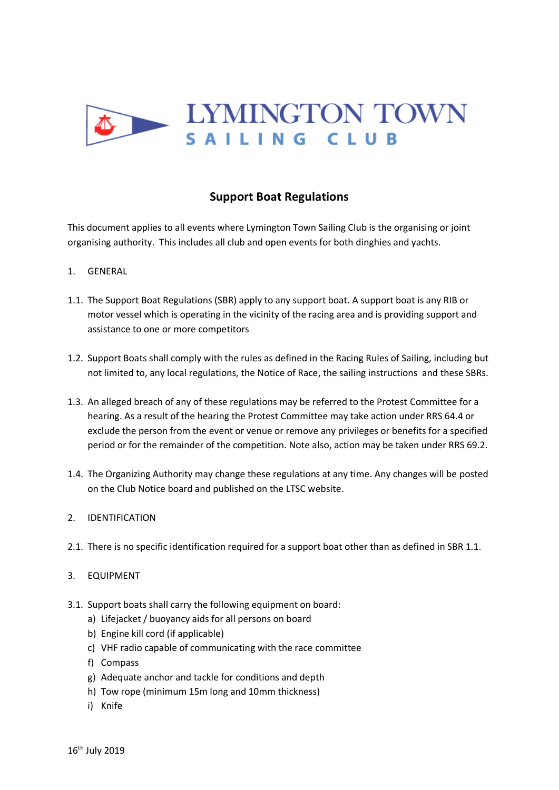

## **Support Boat Regulations**

This document applies to all events where Lymington Town Sailing Club is the organising or joint organising authority. This includes all club and open events for both dinghies and yachts.

- 1. GENERAL
- 1.1. The Support Boat Regulations (SBR) apply to any support boat. A support boat is any RIB or motor vessel which is operating in the vicinity of the racing area and is providing support and assistance to one or more competitors
- 1.2. Support Boats shall comply with the rules as defined in the Racing Rules of Sailing, including but not limited to, any local regulations, the Notice of Race, the sailing instructions and these SBRs.
- 1.3. An alleged breach of any of these regulations may be referred to the Protest Committee for a hearing. As a result of the hearing the Protest Committee may take action under RRS 64.4 or exclude the person from the event or venue or remove any privileges or benefits for a specified period or for the remainder of the competition. Note also, action may be taken under RRS 69.2.
- 1.4. The Organizing Authority may change these regulations at any time. Any changes will be posted on the Club Notice board and published on the LTSC website.
- 2. IDENTIFICATION
- 2.1. There is no specific identification required for a support boat other than as defined in SBR 1.1.
- 3. EQUIPMENT
- 3.1. Support boats shall carry the following equipment on board:
	- a) Lifejacket / buoyancy aids for all persons on board
	- b) Engine kill cord (if applicable)
	- c) VHF radio capable of communicating with the race committee
	- f) Compass
	- g) Adequate anchor and tackle for conditions and depth
	- h) Tow rope (minimum 15m long and 10mm thickness)
	- i) Knife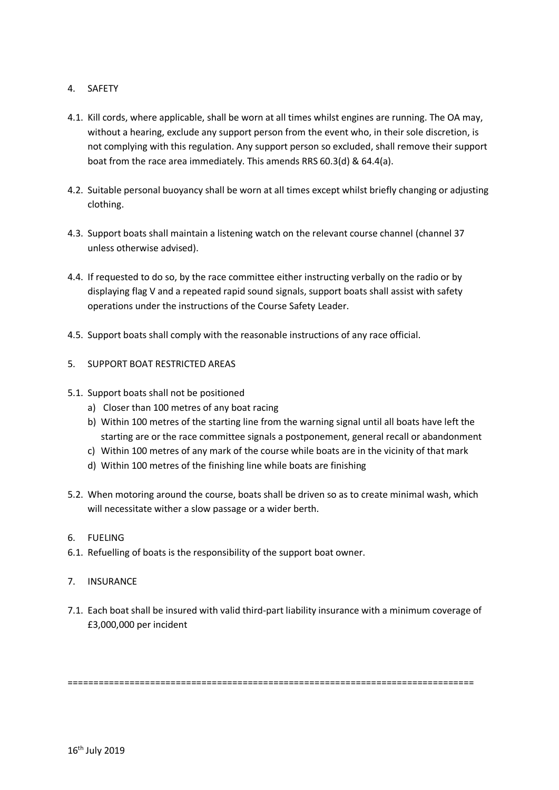## 4. SAFETY

- 4.1. Kill cords, where applicable, shall be worn at all times whilst engines are running. The OA may, without a hearing, exclude any support person from the event who, in their sole discretion, is not complying with this regulation. Any support person so excluded, shall remove their support boat from the race area immediately. This amends RRS 60.3(d) & 64.4(a).
- 4.2. Suitable personal buoyancy shall be worn at all times except whilst briefly changing or adjusting clothing.
- 4.3. Support boats shall maintain a listening watch on the relevant course channel (channel 37 unless otherwise advised).
- 4.4. If requested to do so, by the race committee either instructing verbally on the radio or by displaying flag V and a repeated rapid sound signals, support boats shall assist with safety operations under the instructions of the Course Safety Leader.
- 4.5. Support boats shall comply with the reasonable instructions of any race official.
- 5. SUPPORT BOAT RESTRICTED AREAS
- 5.1. Support boats shall not be positioned
	- a) Closer than 100 metres of any boat racing
	- b) Within 100 metres of the starting line from the warning signal until all boats have left the starting are or the race committee signals a postponement, general recall or abandonment
	- c) Within 100 metres of any mark of the course while boats are in the vicinity of that mark
	- d) Within 100 metres of the finishing line while boats are finishing
- 5.2. When motoring around the course, boats shall be driven so as to create minimal wash, which will necessitate wither a slow passage or a wider berth.
- 6. FUELING
- 6.1. Refuelling of boats is the responsibility of the support boat owner.
- 7. INSURANCE
- 7.1. Each boat shall be insured with valid third-part liability insurance with a minimum coverage of £3,000,000 per incident

===============================================================================